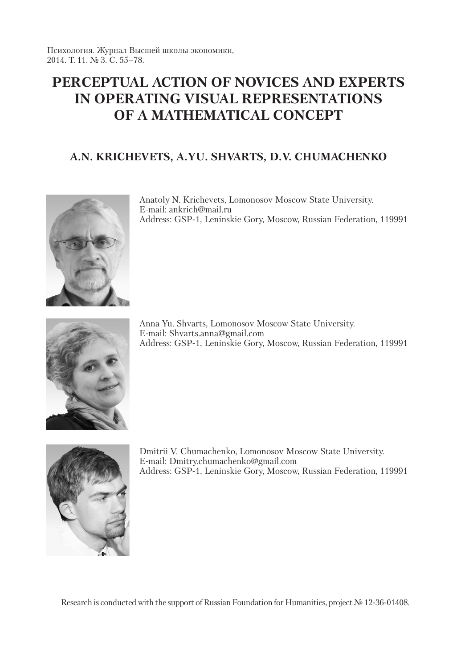# **PERCEPTUAL ACTION OF NOVICES AND EXPERTS IN OPERATING VISUAL REPRESENTATIONS OF A MATHEMATICAL CONCEPT**

## **A.N. KRICHEVETS, A.YU. SHVARTS, D.V. CHUMACHENKO**



Anatoly N. Krichevets, Lomonosov Moscow State University. E-mail: ankrich@mail.ru Address: GSP-1, Leninskie Gory, Moscow, Russian Federation, 119991



Anna Yu. Shvarts, Lomonosov Moscow State University. E-mail: Shvarts.anna@gmail.com Address: GSP-1, Leninskie Gory, Moscow, Russian Federation, 119991



Dmitrii V. Chumachenko, Lomonosov Moscow State University. E-mail: Dmitry.chumachenko@gmail.com Address: GSP-1, Leninskie Gory, Moscow, Russian Federation, 119991

Research is conducted with the support of Russian Foundation for Humanities, project № 12-36-01408.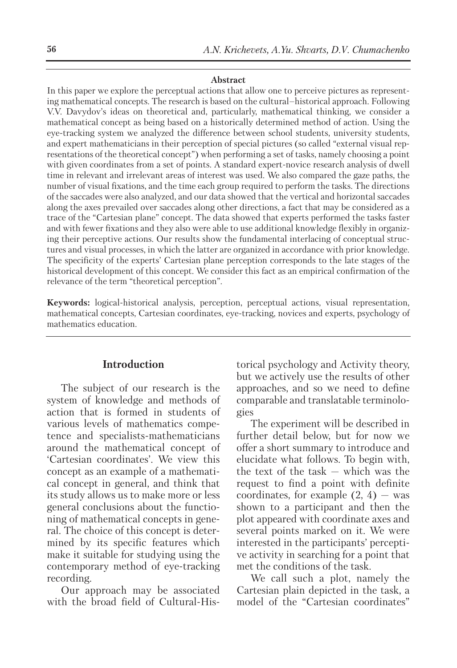#### **Abstract**

In this paper we explore the perceptual actions that allow one to perceive pictures as representing mathematical concepts. The research is based on the cultural–historical approach. Following V.V. Davydov's ideas on theoretical and, particularly, mathematical thinking, we consider a mathematical concept as being based on a historically determined method of action. Using the eye-tracking system we analyzed the difference between school students, university students, and expert mathematicians in their perception of special pictures (so called "external visual representations of the theoretical concept") when performing a set of tasks, namely choosing a point with given coordinates from a set of points. A standard expert-novice research analysis of dwell time in relevant and irrelevant areas of interest was used. We also compared the gaze paths, the number of visual fixations, and the time each group required to perform the tasks. The directions of the saccades were also analyzed, and our data showed that the vertical and horizontal saccades along the axes prevailed over saccades along other directions, a fact that may be considered as a trace of the "Cartesian plane" concept. The data showed that experts performed the tasks faster and with fewer fixations and they also were able to use additional knowledge flexibly in organizing their perceptive actions. Our results show the fundamental interlacing of conceptual structures and visual processes, in which the latter are organized in accordance with prior knowledge. The specificity of the experts' Cartesian plane perception corresponds to the late stages of the historical development of this concept. We consider this fact as an empirical confirmation of the relevance of the term "theoretical perception".

**Keywords:** logical-historical analysis, perception, perceptual actions, visual representation, mathematical concepts, Cartesian coordinates, eye-tracking, novices and experts, psychology of mathematics education.

## **Introduction**

The subject of our research is the system of knowledge and methods of action that is formed in students of various levels of mathematics competence and specialists-mathematicians around the mathematical concept of 'Cartesian coordinates'. We view this concept as an example of a mathematical concept in general, and think that its study allows us to make more or less general conclusions about the functioning of mathematical concepts in general. The choice of this concept is determined by its specific features which make it suitable for studying using the contemporary method of eye-tracking recording.

Our approach may be associated with the broad field of Cultural-Historical psychology and Activity theory, but we actively use the results of other approaches, and so we need to define comparable and translatable terminologies

The experiment will be described in further detail below, but for now we offer a short summary to introduce and elucidate what follows. To begin with, the text of the task — which was the request to find a point with definite coordinates, for example  $(2, 4)$  – was shown to a participant and then the plot appeared with coordinate axes and several points marked on it. We were interested in the participants' perceptive activity in searching for a point that met the conditions of the task.

We call such a plot, namely the Cartesian plain depicted in the task, a model of the "Cartesian coordinates"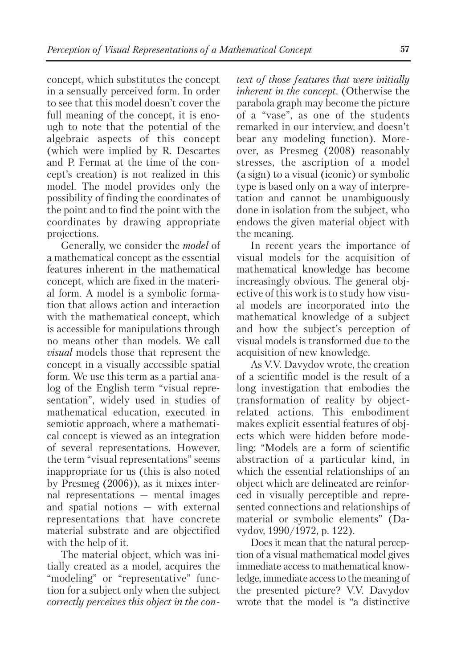concept, which substitutes the concept in a sensually perceived form. In order to see that this model doesn't cover the full meaning of the concept, it is enough to note that the potential of the algebraic aspects of this concept (which were implied by R. Descartes and P. Fermat at the time of the concept's creation) is not realized in this model. The model provides only the possibility of finding the coordinates of the point and to find the point with the coordinates by drawing appropriate projections.

Generally, we consider the *model* of a mathematical concept as the essential features inherent in the mathematical concept, which are fixed in the material form. A model is a symbolic formation that allows action and interaction with the mathematical concept, which is accessible for manipulations through no means other than models. We call *visual* models those that represent the concept in a visually accessible spatial form. We use this term as a partial analog of the English term "visual representation", widely used in studies of mathematical education, executed in semiotic approach, where a mathematical concept is viewed as an integration of several representations. However, the term "visual representations" seems inappropriate for us (this is also noted by Presmeg (2006)), as it mixes internal representations — mental images and spatial notions — with external representations that have concrete material substrate and are objectified with the help of it.

The material object, which was initially created as a model, acquires the "modeling" or "representative" function for a subject only when the subject *correctly perceives this object in the con-* *text of those features that were initially inherent in the concept*. (Otherwise the parabola graph may become the picture of a "vase", as one of the students remarked in our interview, and doesn't bear any modeling function). Moreover, as Presmeg (2008) reasonably stresses, the ascription of a model (a sign) to a visual (iconic) or symbolic type is based only on a way of interpretation and cannot be unambiguously done in isolation from the subject, who endows the given material object with the meaning.

In recent years the importance of visual models for the acquisition of mathematical knowledge has become increasingly obvious. The general objective of this work is to study how visual models are incorporated into the mathematical knowledge of a subject and how the subject's perception of visual models is transformed due to the acquisition of new knowledge.

As V.V. Davydov wrote, the creation of a scientific model is the result of a long investigation that embodies the transformation of reality by objectrelated actions. This embodiment makes explicit essential features of objects which were hidden before modeling: "Models are a form of scientific abstraction of a particular kind, in which the essential relationships of an object which are delineated are reinforced in visually perceptible and represented connections and relationships of material or symbolic elements" (Davydov, 1990/1972, p. 122).

Does it mean that the natural perception of a visual mathematical model gives immediate access to mathematical knowledge, immediate access to the meaning of the presented picture? V.V. Davydov wrote that the model is "a distinctive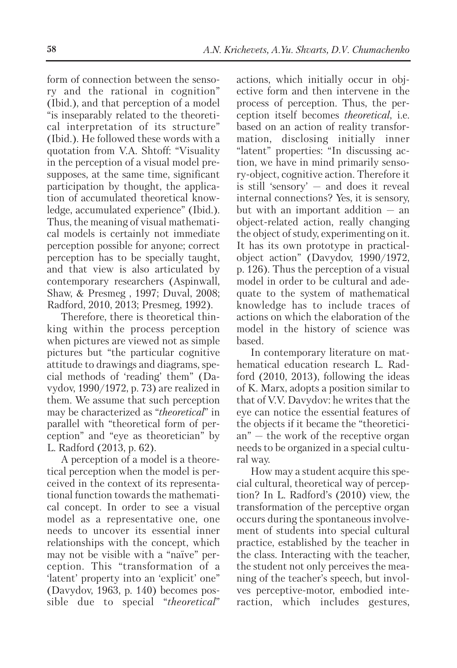form of connection between the sensory and the rational in cognition" (Ibid.), and that perception of a model "is inseparably related to the theoretical interpretation of its structure" (Ibid.). He followed these words with a quotation from V.A. Shtoff: "Visuality in the perception of a visual model presupposes, at the same time, significant participation by thought, the application of accumulated theoretical knowledge, accumulated experience" (Ibid.). Thus, the meaning of visual mathematical models is certainly not immediate perception possible for anyone; correct perception has to be specially taught, and that view is also articulated by contemporary researchers (Aspinwall, Shaw, & Presmeg , 1997; Duval, 2008; Radford, 2010, 2013; Presmeg, 1992).

Therefore, there is theoretical thinking within the process perception when pictures are viewed not as simple pictures but "the particular cognitive attitude to drawings and diagrams, special methods of 'reading' them" (Davydov, 1990/1972, p. 73) are realized in them. We assume that such perception may be characterized as "*theoretical*" in parallel with "theoretical form of perception" and "eye as theoretician" by L. Radford (2013, p. 62).

A perception of a model is a theoretical perception when the model is perceived in the context of its representational function towards the mathematical concept. In order to see a visual model as a representative one, one needs to uncover its essential inner relationships with the concept, which may not be visible with a "naïve" perception. This "transformation of a 'latent' property into an 'explicit' one" (Davydov, 1963, p. 140) becomes pos sible due to special "*theoretical*"

actions, which initially occur in objective form and then intervene in the process of perception. Thus, the perception itself becomes *theoretical*, i.e. based on an action of reality transformation, disclosing initially inner "latent" properties: "In discussing action, we have in mind primarily sensory-object, cognitive action. Therefore it is still 'sensory' — and does it reveal internal connections? Yes, it is sensory, but with an important addition — an object-related action, really changing the object of study, experimenting on it. It has its own prototype in practicalobject action" (Davydov, 1990/1972, p. 126). Thus the perception of a visual model in order to be cultural and adequate to the system of mathematical knowledge has to include traces of actions on which the elaboration of the model in the history of science was based.

In contemporary literature on mathematical education research L. Radford (2010, 2013), following the ideas of K. Marx, adopts a position similar to that of V.V. Davydov: he writes that the eye can notice the essential features of the objects if it became the "theoretician" — the work of the receptive organ needs to be organized in a special cultural way.

How may a student acquire this special cultural, theoretical way of perception? In L. Radford's (2010) view, the transformation of the perceptive organ occurs during the spontaneous involvement of students into special cultural practice, established by the teacher in the class. Interacting with the teacher, the student not only perceives the meaning of the teacher's speech, but involves perceptive-motor, embodied interaction, which includes gestures,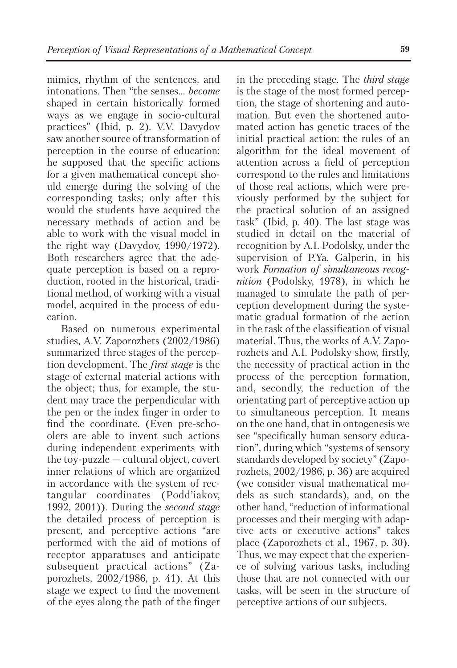mimics, rhythm of the sentences, and intonations. Then "the senses… *become* shaped in certain historically formed ways as we engage in socio-cultural practices" (Ibid, p. 2). V.V. Davydov saw another source of transformation of perception in the course of education: he supposed that the specific actions for a given mathematical concept should emerge during the solving of the corresponding tasks; only after this would the students have acquired the necessary methods of action and be able to work with the visual model in the right way (Davydov, 1990/1972). Both researchers agree that the adequate perception is based on a reproduction, rooted in the historical, traditional method, of working with a visual model, acquired in the process of education.

Based on numerous experimental studies, A.V. Zaporozhets (2002/1986) summarized three stages of the perception development. The *first stage* is the stage of external material actions with the object; thus, for example, the student may trace the perpendicular with the pen or the index finger in order to find the coordinate. (Even pre-schoolers are able to invent such actions during independent experiments with the toy-puzzle — cultural object, covert inner relations of which are organized in accordance with the system of rectangular coordinates (Podd'iakov, 1992, 2001)). During the *second stage* the detailed process of perception is present, and perceptive actions "are performed with the aid of motions of receptor apparatuses and anticipate subsequent practical actions"  $(Za - z)$ porozhets, 2002/1986, p. 41). At this stage we expect to find the movement of the eyes along the path of the finger in the preceding stage. The *third stage* is the stage of the most formed perception, the stage of shortening and automation. But even the shortened automated action has genetic traces of the initial practical action: the rules of an algorithm for the ideal movement of attention across a field of perception correspond to the rules and limitations of those real actions, which were previously performed by the subject for the practical solution of an assigned task" (Ibid, p. 40). The last stage was studied in detail on the material of recognition by A.I. Podolsky, under the supervision of P.Ya. Galperin, in his work *Formation of simultaneous recognition* (Podolsky, 1978), in which he managed to simulate the path of perception development during the systematic gradual formation of the action in the task of the classification of visual material. Thus, the works of A.V. Zaporozhets and A.I. Podolsky show, firstly, the necessity of practical action in the process of the perception formation, and, secondly, the reduction of the orien tating part of perceptive action up to simultaneous perception. It means on the one hand, that in ontogenesis we see "specifically human sensory education", during which "systems of sensory standards developed by society" (Zaporozhets, 2002/1986, p. 36) are acquired (we consider visual mathematical models as such standards), and, on the other hand, "reduction of informational processes and their merging with adaptive acts or executive actions" takes place (Zaporozhets et al., 1967, p. 30). Thus, we may expect that the experience of solving various tasks, including those that are not connected with our tasks, will be seen in the structure of perceptive actions of our subjects.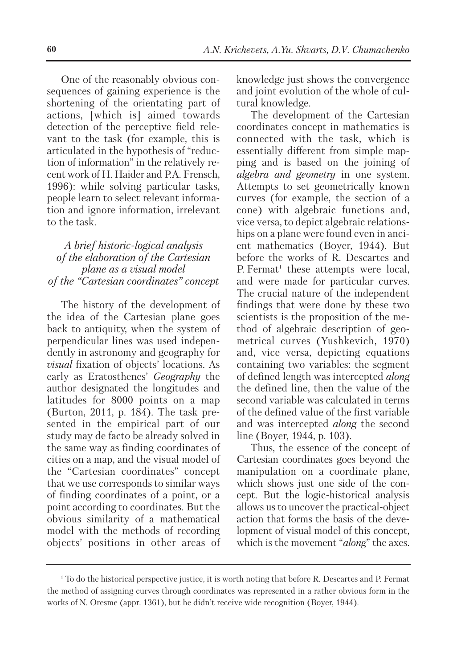One of the reasonably obvious consequences of gaining experience is the shortening of the orientating part of actions, [which is] aimed towards detection of the perceptive field relevant to the task (for example, this is articulated in the hypothesis of "reduction of information" in the relatively re cent work of H. Haider and P.A. Frensch, 1996): while solving particular tasks, people learn to select relevant information and ignore information, irrelevant to the task.

*A brief historic-logical analysis of the elaboration of the Cartesian plane as a visual model of the "Cartesian coordinates" concept*

The history of the development of the idea of the Cartesian plane goes back to antiquity, when the system of perpendicular lines was used independently in astronomy and geography for *visual* fixation of objects' locations. As early as Eratosthenes' *Geography* the author designated the longitudes and latitudes for 8000 points on a map (Burton, 2011, p. 184). The task presented in the empirical part of our study may de facto be already solved in the same way as finding coordinates of cities on a map, and the visual model of the "Cartesian coordinates" concept that we use corresponds to similar ways of finding coordinates of a point, or a point according to coordinates. But the obvious similarity of a mathematical model with the methods of recording objects' positions in other areas of knowledge just shows the convergence and joint evolution of the whole of cultural knowledge.

The development of the Cartesian coordinates concept in mathematics is connected with the task, which is essentially different from simple mapping and is based on the joining of *algebra and geometry* in one system. Attempts to set geometrically known curves (for example, the section of a cone) with algebraic functions and, vice versa, to depict algebraic relationships on a plane were found even in ancient mathematics (Boyer, 1944). But before the works of R. Descartes and P. Fermat<sup>1</sup> these attempts were local, and were made for particular curves. The crucial nature of the independent findings that were done by these two scientists is the proposition of the me thod of algebraic description of geometrical curves (Yushkevich, 1970) and, vice versa, depicting equations containing two variables: the segment of defined length was intercepted *along* the defined line, then the value of the second variable was calculated in terms of the defined value of the first variable and was intercepted *along* the second line (Boyer, 1944, p. 103).

Thus, the essence of the concept of Cartesian coordinates goes beyond the manipulation on a coordinate plane, which shows just one side of the concept. But the logic-historical analysis allows us to uncover the practical-object action that forms the basis of the development of visual model of this concept, which is the movement "*along*" the axes.

<sup>1</sup> To do the historical perspective justice, it is worth noting that before R. Descartes and P. Fermat the method of assigning curves through coordinates was represented in a rather obvious form in the works of N. Oresme (appr. 1361), but he didn't receive wide recognition (Boyer, 1944).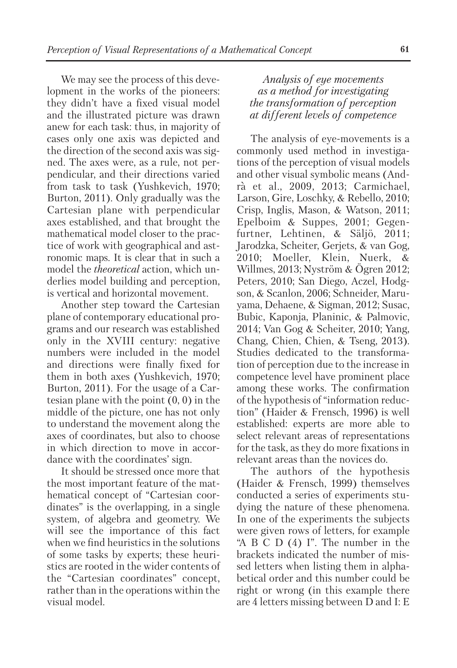We may see the process of this development in the works of the pioneers: they didn't have a fixed visual model and the illustrated picture was drawn anew for each task: thus, in majority of cases only one axis was depicted and the direction of the second axis was signed. The axes were, as a rule, not perpendicular, and their directions varied from task to task (Yushkevich, 1970; Burton, 2011). Only gradually was the Cartesian plane with perpendicular axes established, and that brought the mathematical model closer to the practice of work with geographical and astronomic maps. It is clear that in such a model the *theoretical* action, which underlies model building and perception, is vertical and horizontal movement.

Another step toward the Cartesian plane of contemporary educational programs and our research was established only in the XVIII century: negative numbers were included in the model and directions were finally fixed for them in both axes (Yushkevich, 1970; Burton, 2011). For the usage of a Cartesian plane with the point (0, 0) in the middle of the picture, one has not only to understand the movement along the axes of coordinates, but also to choose in which direction to move in accordance with the coordinates' sign.

It should be stressed once more that the most important feature of the mathematical concept of "Cartesian coordinates" is the overlapping, in a single system, of algebra and geometry. We will see the importance of this fact when we find heuristics in the solutions of some tasks by experts; these heuristics are rooted in the wider contents of the "Cartesian coordinates" concept, rather than in the operations within the visual model.

*Analysis of eye movements as a method for investigating the transformation of perception at different levels of competence* 

The analysis of eye-movements is a commonly used method in investigations of the perception of visual models and other visual symbolic means (And rà et al., 2009, 2013; Carmichael, Larson, Gire, Loschky, & Rebello, 2010; Crisp, Inglis, Mason, & Watson, 2011; Epelboim & Suppes, 2001; Gegenfurtner, Lehtinen, & Säljö, 2011; Jarodzka, Scheiter, Gerjets, & van Gog, 2010; Moeller, Klein, Nuerk, & Willmes, 2013; Nyström & Ögren 2012; Peters, 2010; San Diego, Aczel, Hodgson, & Scanlon, 2006; Schneider, Maruyama, Dehaene, & Sigman, 2012; Susac, Bubic, Kaponja, Planinic, & Palmovic, 2014; Van Gog & Scheiter, 2010; Yang, Chang, Chien, Chien, & Tseng, 2013). Studies dedicated to the transformation of perception due to the increase in competence level have prominent place among these works. The confirmation of the hypothesis of "information reduction" (Hаider & Frensch, 1996) is well established: experts are more able to select relevant areas of representations for the task, as they do more fixations in relevant areas than the novices do.

The authors of the hypothesis (Hаider & Frensch, 1999) themselves conducted a series of experiments studying the nature of these phenomena. In one of the experiments the subjects were given rows of letters, for example "A B C D (4) I". The number in the brackets indicated the number of missed letters when listing them in alphabetical order and this number could be right or wrong (in this example there are 4 letters missing between D and I: E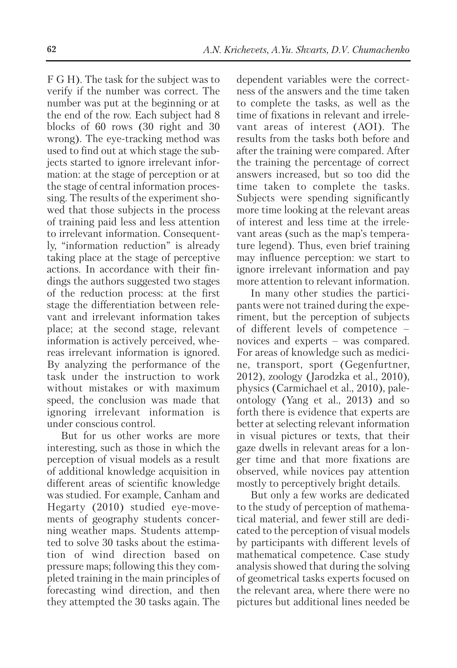F G H). The task for the subject was to verify if the number was correct. The number was put at the beginning or at the end of the row. Each subject had 8 blocks of 60 rows (30 right and 30 wrong). The eye-tracking method was used to find out at which stage the subjects started to ignore irrelevant information: at the stage of perception or at the stage of central information processing. The results of the experiment showed that those subjects in the process of training paid less and less attention to irrelevant information. Consequently, "information reduction" is already taking place at the stage of perceptive actions. In accordance with their findings the authors suggested two stages of the reduction process: at the first stage the differentiation between relevant and irrelevant information takes place; at the second stage, relevant information is actively perceived, whereas irrelevant information is ignored. By analyzing the performance of the task under the instruction to work without mistakes or with maximum speed, the conclusion was made that ignoring irrelevant information is under conscious control.

But for us other works are more interesting, such as those in which the perception of visual models as a result of additional knowledge acquisition in different areas of scientific knowledge was studied. For example, Canham and Hegarty (2010) studied eye-movements of geography students concerning weather maps. Students attempted to solve 30 tasks about the estimation of wind direction based on pressure maps; following this they completed training in the main principles of forecasting wind direction, and then they attempted the 30 tasks again. The

dependent variables were the correctness of the answers and the time taken to complete the tasks, as well as the time of fixations in relevant and irrelevant areas of interest (AOI). The results from the tasks both before and after the training were compared. After the training the percentage of correct answers increased, but so too did the time taken to complete the tasks. Subjects were spending significantly more time looking at the relevant areas of interest and less time at the irrelevant areas (such as the map's temperature legend). Thus, even brief training may influence perception: we start to ignore irrelevant information and pay more attention to relevant information.

In many other studies the participants were not trained during the experiment, but the perception of subjects of different levels of competence – novices and experts – was compared. For areas of knowledge such as medicine, transport, sport (Gegenfurtner, 2012), zoology (Jarodzka et al., 2010), physics (Carmichael et al., 2010), paleontology (Yang et al., 2013) and so forth there is evidence that experts are better at selecting relevant information in visual pictures or texts, that their gaze dwells in relevant areas for a longer time and that more fixations are observed, while novices pay attention mostly to perceptively bright details.

But only a few works are dedicated to the study of perception of mathematical material, and fewer still are dedicated to the perception of visual models by participants with different levels of mathematical competence. Case study analysis showed that during the solving of geometrical tasks experts focused on the relevant area, where there were no pictures but additional lines needed be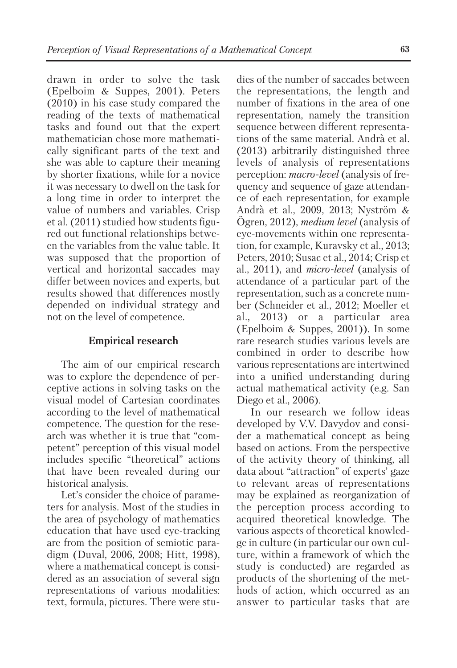drawn in order to solve the task (Epelboim & Suppes, 2001). Peters (2010) in his case study compared the reading of the texts of mathematical tasks and found out that the expert mathematician chose more mathematically significant parts of the text and she was able to capture their meaning by shorter fixations, while for a novice it was necessary to dwell on the task for a long time in order to interpret the value of numbers and variables. Crisp et al. (2011) studied how students figured out functional relationships between the variables from the value table. It was supposed that the proportion of vertical and horizontal saccades may differ between novices and experts, but results showed that differences mostly depended on individual strategy and not on the level of competence.

## **Empirical research**

The aim of our empirical research was to explore the dependence of perceptive actions in solving tasks on the visual model of Cartesian coordinates according to the level of mathematical competence. The question for the research was whether it is true that "competent" perception of this visual model includes specific "theoretical" actions that have been revealed during our historical analysis.

Let's consider the choice of parameters for analysis. Most of the studies in the area of psychology of mathematics education that have used eye-tracking are from the position of semiotic paradigm (Duval, 2006, 2008; Hitt, 1998), where a mathematical concept is considered as an association of several sign representations of various modalities: text, formula, pictures. There were studies of the number of saccades between the representations, the length and number of fixations in the area of one representation, namely the transition sequence between different representations of the same material. Andrà et al. (2013) arbitrarily distinguished three levels of analysis of representations perception: *macro-level* (analysis of frequency and sequence of gaze attendance of each representation, for example Andrà et al., 2009, 2013; Nyström & Ögren, 2012), *medium level* (analysis of eye-movements within one representation, for example, Kuravsky et al., 2013; Peters, 2010; Susac et al., 2014; Crisp et al., 2011), and *micro-level* (analysis of attendance of a particular part of the representation, such as a concrete number (Schneider et al., 2012; Moeller et al., 2013) or a particular area (Epelboim & Suppes, 2001)). In some rare research studies various levels are combined in order to describe how various representations are intertwined into a unified understanding during actual mathematical activity (e.g. San Diego et al., 2006).

In our research we follow ideas developed by V.V. Davydov and consider a mathematical concept as being based on actions. From the perspective of the activity theory of thinking, all data about "attraction" of experts' gaze to relevant areas of representations may be explained as reorganization of the perception process according to acquired theoretical knowledge. The various aspects of theoretical knowledge in culture (in particular our own culture, within a framework of which the study is conducted) are regarded as products of the shortening of the methods of action, which occurred as an answer to particular tasks that are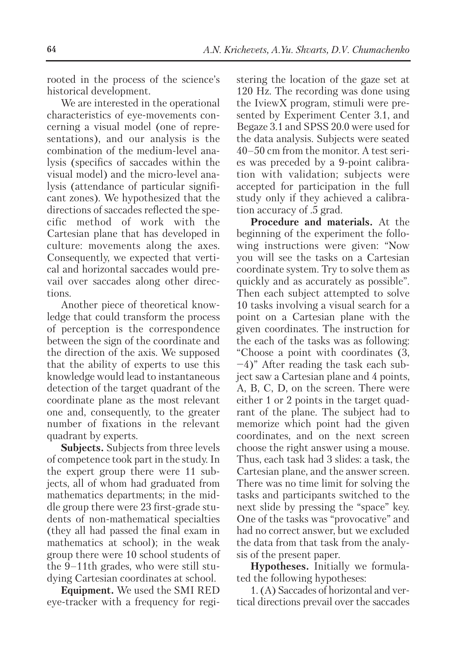rooted in the process of the science's historical development.

We are interested in the operational characteristics of eye-movements concerning a visual model (one of representations), and our analysis is the combination of the medium-level analysis (specifics of saccades within the visual model) and the micro-level analysis (attendance of particular significant zones). We hypothesized that the directions of saccades reflected the specific method of work with the Cartesian plane that has developed in culture: movements along the axes. Consequently, we expected that vertical and horizontal saccades would prevail over saccades along other directions.

Another piece of theoretical knowledge that could transform the process of perception is the correspondence between the sign of the coordinate and the direction of the axis. We supposed that the ability of experts to use this knowledge would lead to instantaneous detection of the target quadrant of the coordinate plane as the most relevant one and, consequently, to the greater number of fixations in the relevant quadrant by experts.

**Subjects.** Subjects from three levels of competence took part in the study. In the expert group there were 11 subjects, all of whom had graduated from mathematics departments; in the middle group there were 23 first-grade students of non-mathematical specialties (they all had passed the final exam in mathematics at school); in the weak group there were 10 school students of the 9–11th grades, who were still studying Cartesian coordinates at school.

**Equipment.** We used the SMI RED eye-tracker with a frequency for registering the location of the gaze set at 120 Hz. The recording was done using the IviewХ program, stimuli were presented by Experiment Center 3.1, and Begaze 3.1 and SPSS 20.0 were used for the data analysis. Subjects were seated 40–50 cm from the monitor. A test series was preceded by a 9-point calibration with validation; subjects were accepted for participation in the full study only if they achieved a calibration accuracy of .5 grad.

**Procedure and materials.** At the beginning of the experiment the following instructions were given: "Now you will see the tasks on a Cartesian coordinate system. Try to solve them as quickly and as accurately as possible". Then each subject attempted to solve 10 tasks involving a visual search for a point on a Cartesian plane with the given coordinates. The instruction for the each of the tasks was as following: "Choose a point with coordinates (3, -4)" After reading the task each subject saw a Cartesian plane and 4 points, A, B, C, D, on the screen. There were either 1 or 2 points in the target quadrant of the plane. The subject had to memorize which point had the given coordinates, and on the next screen choose the right answer using a mouse. Thus, each task had 3 slides: a task, the Cartesian plane, and the answer screen. There was no time limit for solving the tasks and participants switched to the next slide by pressing the "space" key. One of the tasks was "provocative" and had no correct answer, but we excluded the data from that task from the analysis of the present paper.

**Hypotheses.** Initially we formulated the following hypotheses:

1. (A) Saccades of horizontal and vertical directions prevail over the saccades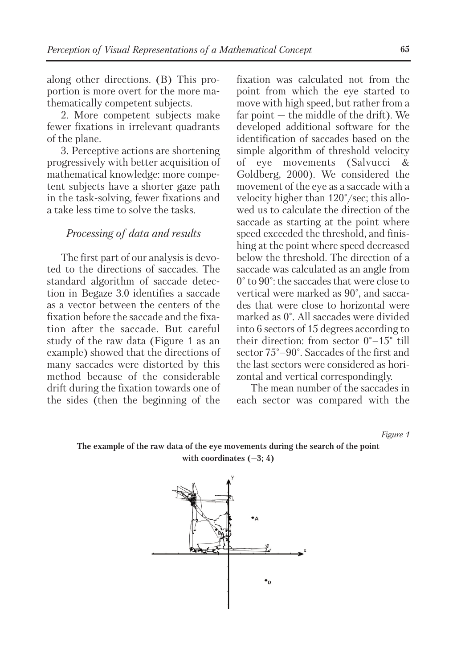along other directions. (B) This proportion is more overt for the more mathematically competent subjects.

2. More competent subjects make fewer fixations in irrelevant quadrants of the plane.

3. Perceptive actions are shortening progressively with better acquisition of mathematical knowledge: more competent subjects have a shorter gaze path in the task-solving, fewer fixations and a take less time to solve the tasks.

## *Processing of data and results*

The first part of our analysis is devoted to the directions of saccades. The standard algorithm of saccade detection in Begaze 3.0 identifies a saccade as a vector between the centers of the fixation before the saccade and the fixation after the saccade. But careful study of the raw data (Figure 1 as an example) showed that the directions of many saccades were distorted by this method because of the considerable drift during the fixation towards one of the sides (then the beginning of the fixation was calculated not from the point from which the eye started to move with high speed, but rather from a  $far point - the middle of the drift.$  We developed additional software for the identification of saccades based on the simple algorithm of threshold velocity of eye movements (Salvucci Goldberg, 2000). We considered the movement of the eye as a saccade with a velocity higher than 120°/sec; this allowed us to calculate the direction of the saccade as starting at the point where speed exceeded the threshold, and finishing at the point where speed decreased below the threshold. The direction of a saccade was calculated as an angle from 0° to 90°: the saccades that were close to vertical were marked as 90°, and saccades that were close to horizontal were marked as 0°. All saccades were divided into 6 sectors of 15 degrees according to their direction: from sector 0°–15° till sector 75°–90°. Saccades of the first and the last sectors were considered as horizontal and vertical correspondingly.

The mean number of the saccades in each sector was compared with the

*Figure 1*



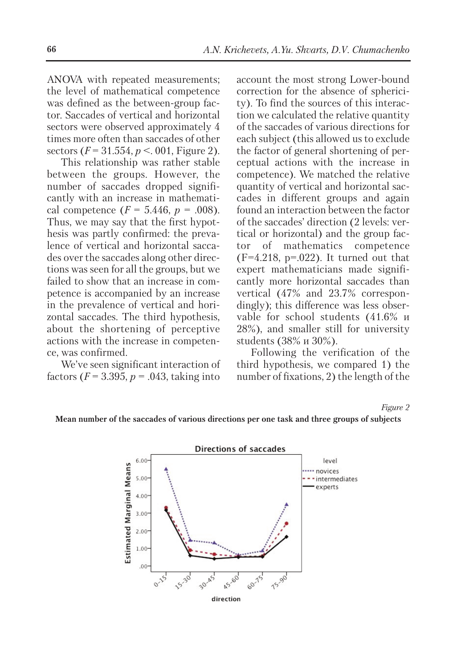ANOVA with repeated measurements; the level of mathematical competence was defined as the between-group factor. Saccades of vertical and horizontal sectors were observed approximately 4 times more often than saccades of other sectors  $(F = 31.554, p < .001$ , Figure 2).

This relationship was rather stable between the groups. However, the number of saccades dropped significantly with an increase in mathematical competence  $(F = 5.446, p = .008)$ . Thus, we may say that the first hypothesis was partly confirmed: the prevalence of vertical and horizontal saccades over the saccades along other directions was seen for all the groups, but we failed to show that an increase in competence is accompanied by an increase in the prevalence of vertical and horizontal saccades. The third hypothesis, about the shortening of perceptive actions with the increase in competence, was confirmed.

We've seen significant interaction of factors ( $F = 3.395$ ,  $p = .043$ , taking into account the most strong Lower-bound correction for the absence of sphericity). To find the sources of this interaction we calculated the relative quantity of the saccades of various directions for each subject (this allowed us to exclude the factor of general shortening of perceptual actions with the increase in competence). We matched the relative quantity of vertical and horizontal saccades in different groups and again found an interaction between the factor of the saccades' direction (2 levels: vertical or horizontal) and the group factor of mathematics competence  $(F=4.218, p=.022)$ . It turned out that expert mathematicians made significantly more horizontal saccades than vertical (47% and 23.7% correspondingly); this difference was less observable for school students (41.6% и 28%), and smaller still for university students (38% и 30%).

Following the verification of the third hypothesis, we compared 1) the number of fixations, 2) the length of the

*Figure 2*

**Mean number of the saccades of various directions per one task and three groups of subjects**

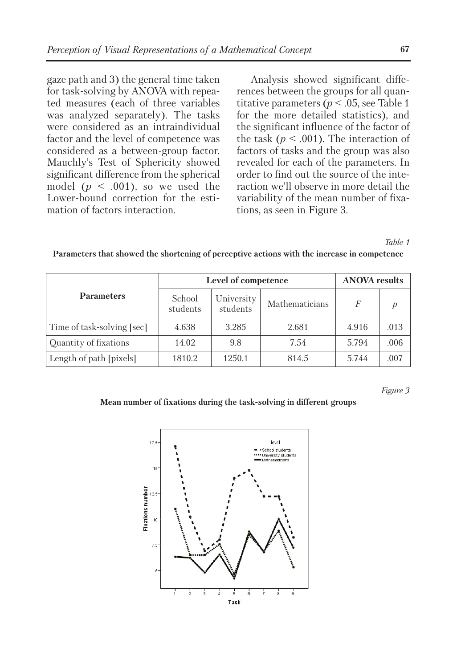gaze path and 3) the general time taken for task-solving by ANOVA with repeated measures (each of three variables was analyzed separately). The tasks were considered as an intraindividual factor and the level of competence was considered as a between-group factor. Mauchly's Test of Sphericity showed significant difference from the spherical model ( $p < .001$ ), so we used the Lower-bound correction for the estimation of factors interaction.

Analysis showed significant differences between the groups for all quantitative parameters ( $p < .05$ , see Table 1 for the more detailed statistics), and the significant influence of the factor of the task ( $p < .001$ ). The interaction of factors of tasks and the group was also revealed for each of the parameters. In order to find out the source of the interaction we'll observe in more detail the variability of the mean number of fixations, as seen in Figure 3.

*Table 1*

**Parameters that showed the shortening of perceptive actions with the increase in competence**

| <b>Parameters</b>          | Level of competence | <b>ANOVA</b> results   |                       |       |                  |
|----------------------------|---------------------|------------------------|-----------------------|-------|------------------|
|                            | School<br>students  | University<br>students | <b>Mathematicians</b> | F     | $\boldsymbol{v}$ |
| Time of task-solving [sec] | 4.638               | 3.285                  | 2.681                 | 4.916 | .013             |
| Quantity of fixations      | 14.02               | 9.8                    | 7.54                  | 5.794 | .006             |
| Length of path [pixels]    | 1810.2              | 1250.1                 | 814.5                 | 5.744 | .007             |

*Figure 3*

#### **Mean number of fixations during the task-solving in different groups**

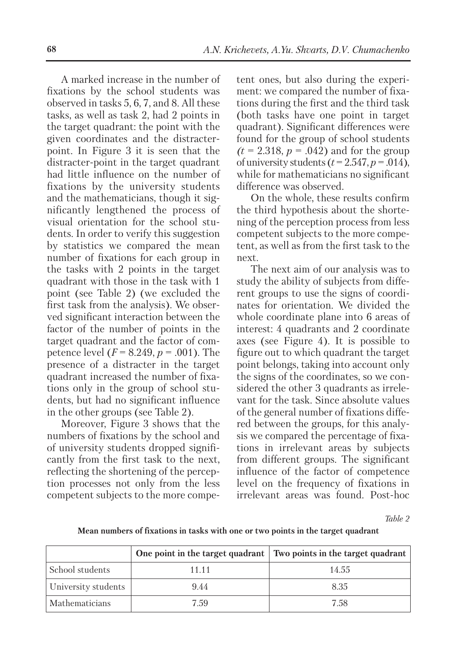A marked increase in the number of fixations by the school students was observed in tasks 5, 6, 7, and 8. All these tasks, as well as task 2, had 2 points in the target quadrant: the point with the given coordinates and the distracterpoint. In Figure 3 it is seen that the distracter-point in the target quadrant had little influence on the number of fixations by the university students and the mathematicians, though it significantly lengthened the process of visual orientation for the school students. In order to verify this suggestion by statistics we compared the mean number of fixations for each group in the tasks with 2 points in the target quadrant with those in the task with 1 point (see Table 2) (we excluded the first task from the analysis). We observed significant interaction between the factor of the number of points in the target quadrant and the factor of competence level (*F* = 8.249, *p* = .001). The presence of a distracter in the target quadrant increased the number of fixations only in the group of school students, but had no significant influence in the other groups (see Table 2).

Moreover, Figure 3 shows that the numbers of fixations by the school and of university students dropped significantly from the first task to the next, reflecting the shortening of the perception processes not only from the less competent subjects to the more competent ones, but also during the experiment: we compared the number of fixations during the first and the third task (both tasks have one point in target quadrant). Significant differences were found for the group of school students  $(t = 2.318, p = .042)$  and for the group of university students  $(t = 2.547, p = .014)$ , while for mathematicians no significant difference was observed.

On the whole, these results confirm the third hypothesis about the shortening of the perception process from less competent subjects to the more competent, as well as from the first task to the next.

The next aim of our analysis was to study the ability of subjects from different groups to use the signs of coordinates for orientation. We divided the whole coordinate plane into 6 areas of interest: 4 quadrants and 2 coordinate axes (see Figure 4). It is possible to figure out to which quadrant the target point belongs, taking into account only the signs of the coordinates, so we considered the other 3 quadrants as irrelevant for the task. Since absolute values of the general number of fixations differed between the groups, for this analysis we compared the percentage of fixations in irrelevant areas by subjects from different groups. The significant influence of the factor of competence level on the frequency of fixations in irrelevant areas was found. Post-hoc

*Table 2*

**Mean numbers of fixations in tasks with one or two points in the target quadrant**

|                     |       | One point in the target quadrant Two points in the target quadrant |
|---------------------|-------|--------------------------------------------------------------------|
| School students     | 11.11 | 14.55                                                              |
| University students | 9.44  | 8.35                                                               |
| Mathematicians      | 7.59  | 7.58                                                               |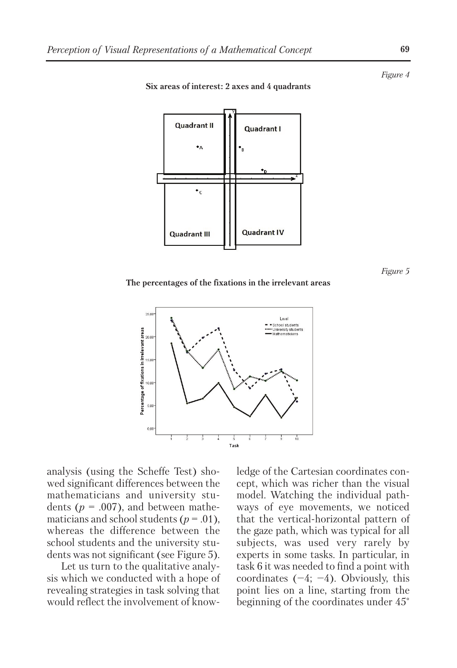#### *Figure 4*



#### **Six areas of interest: 2 axes and 4 quadrants**

*Figure 5*

**The percentages of the fixations in the irrelevant areas**



analysis (using the Scheffe Test) showed significant differences between the mathematicians and university students ( $p = .007$ ), and between mathematicians and school students ( $p = .01$ ), whereas the difference between the school students and the university students was not significant (see Figure 5).

Let us turn to the qualitative analysis which we conducted with a hope of revealing strategies in task solving that would reflect the involvement of knowledge of the Cartesian coordinates concept, which was richer than the visual model. Watching the individual pathways of eye movements, we noticed that the vertical-horizontal pattern of the gaze path, which was typical for all subjects, was used very rarely by experts in some tasks. In particular, in task 6 it was needed to find a point with coordinates  $(-4; -4)$ . Obviously, this point lies on a line, starting from the beginning of the coordinates under 45°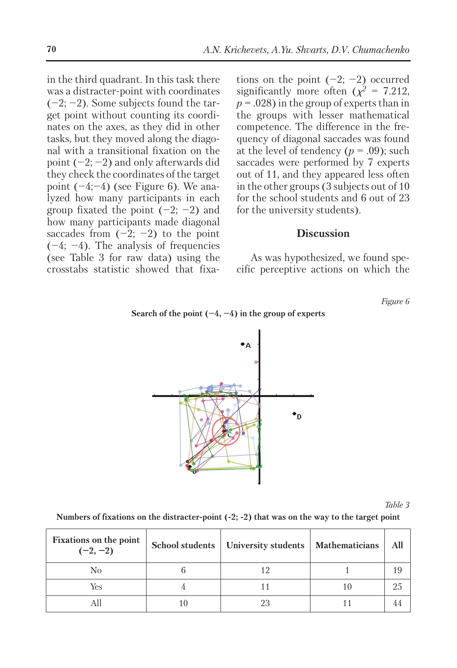in the third quadrant. In this task there was a distracter-point with coordinates  $(-2, -2)$ . Some subjects found the target point without counting its coordinates on the axes, as they did in other tasks, but they moved along the diagonal with a transitional fixation on the point (-2; -2) and only afterwards did they check the coordinates of the target point  $(-4,-4)$  (see Figure 6). We analyzed how many participants in each group fixated the point  $(-2;\,-2)$  and how many participants made diagonal saccades from  $(-2; -2)$  to the point  $(-4; -4)$ . The analysis of frequencies (see Table 3 for raw data) using the crosstabs statistic showed that fixa-

tions on the point  $(-2, -2)$  occurred significantly more often  $(\chi^2 = 7.212,$  $p = .028$ ) in the group of experts than in the groups with lesser mathematical competence. The difference in the frequency of diagonal saccades was found at the level of tendency  $(p = .09)$ ; such saccades were performed by 7 experts out of 11, and they appeared less often in the other groups (3 subjects out of 10 for the school students and 6 out of 23 for the university students).

## **Discussion**

As was hypothesized, we found specific perceptive actions on which the

*Figure 6*



Search of the point  $(-4, -4)$  in the group of experts

*Table 3*

**Numbers of fixations on the distracter-point (-2; -2) that was on the way to the target point**

| Fixations on the point<br>$(-2, -2)$ | School students   University students   Mathematicians | All |
|--------------------------------------|--------------------------------------------------------|-----|
| No                                   |                                                        |     |
| Yes                                  |                                                        |     |
|                                      |                                                        |     |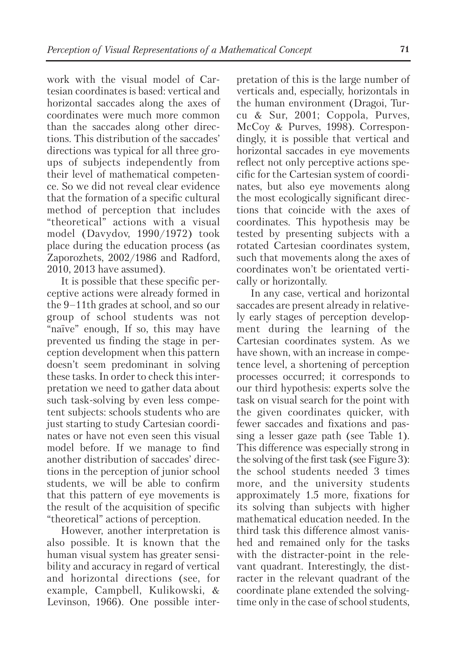work with the visual model of Cartesian coordinates is based: vertical and horizontal saccades along the axes of coordinates were much more common than the saccades along other directions. This distribution of the saccades' directions was typical for all three groups of subjects independently from their level of mathematical competence. So we did not reveal clear evidence that the formation of a specific cultural method of perception that includes "theoretical" actions with a visual model (Davydov, 1990/1972) took place during the education process (as Zaporozhets, 2002/1986 and Radford, 2010, 2013 have assumed).

It is possible that these specific perceptive actions were already formed in the 9–11th grades at school, and so our group of school students was not "naïve" enough, If so, this may have prevented us finding the stage in perception development when this pattern doesn't seem predominant in solving these tasks. In order to check this interpretation we need to gather data about such task-solving by even less competent subjects: schools students who are just starting to study Cartesian coordinates or have not even seen this visual model before. If we manage to find another distribution of saccades' directions in the perception of junior school students, we will be able to confirm that this pattern of eye movements is the result of the acquisition of specific "theoretical" actions of perception.

However, another interpretation is also possible. It is known that the human visual system has greater sensibility and accuracy in regard of vertical and horizontal directions (see, for example, Campbell, Kulikowski, & Levinson, 1966). One possible interpretation of this is the large number of verticals and, especially, horizontals in the human environment (Dragoi, Turcu & Sur, 2001; Coppola, Purves, McCoy & Purves, 1998). Correspondingly, it is possible that vertical and horizontal saccades in eye movements reflect not only perceptive actions specific for the Cartesian system of coordinates, but also eye movements along the most ecologically significant directions that coincide with the axes of coordinates. This hypothesis may be tested by presenting subjects with a rotated Cartesian coordinates system, such that movements along the axes of coordinates won't be orientated vertically or horizontally.

In any case, vertical and horizontal saccades are present already in relatively early stages of perception development during the learning of the Cartesian coordinates system. As we have shown, with an increase in competence level, a shortening of perception processes occurred; it corresponds to our third hypothesis: experts solve the task on visual search for the point with the given coordinates quicker, with fewer saccades and fixations and passing a lesser gaze path (see Table 1). This difference was especially strong in the solving of the first task (see Figure 3): the school students needed 3 times more, and the university students approximately 1.5 more, fixations for its solving than subjects with higher mathematical education needed. In the third task this difference almost vanished and remained only for the tasks with the distracter-point in the relevant quadrant. Interestingly, the distracter in the relevant quadrant of the coordinate plane extended the solvingtime only in the case of school students,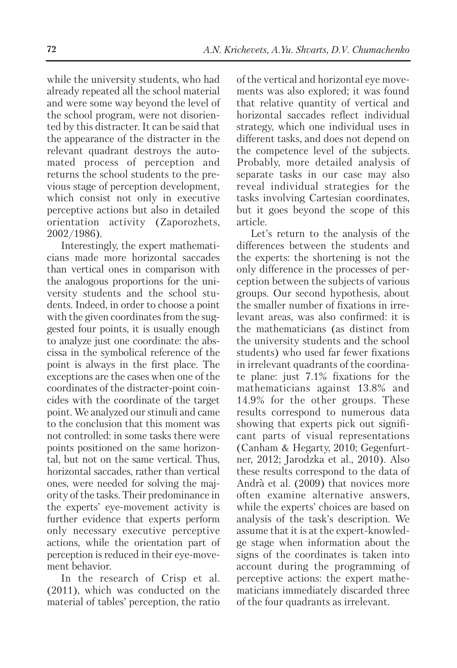while the university students, who had already repeated all the school material and were some way beyond the level of the school program, were not disoriented by this distracter. It can be said that the appearance of the distracter in the relevant quadrant destroys the automated process of perception and returns the school students to the previous stage of perception development, which consist not only in executive perceptive actions but also in detailed orientation activity (Zaporozhets, 2002/1986).

Interestingly, the expert mathematicians made more horizontal saccades than vertical ones in comparison with the analogous proportions for the university students and the school students. Indeed, in order to choose a point with the given coordinates from the suggested four points, it is usually enough to analyze just one coordinate: the abscissa in the symbolical reference of the point is always in the first place. The exceptions are the cases when one of the coordinates of the distracter-point coincides with the coordinate of the target point. We analyzed our stimuli and came to the conclusion that this moment was not controlled: in some tasks there were points positioned on the same horizontal, but not on the same vertical. Thus, horizontal saccades, rather than vertical ones, were needed for solving the majority of the tasks. Their predominance in the experts' eye-movement activity is further evidence that experts perform only necessary executive perceptive actions, while the orientation part of perception is reduced in their eye-movement behavior.

In the research of Crisp et al. (2011), which was conducted on the material of tables' perception, the ratio of the vertical and horizontal eye movements was also explored; it was found that relative quantity of vertical and horizontal saccades reflect individual strategy, which one individual uses in different tasks, and does not depend on the competence level of the subjects. Probably, more detailed analysis of separate tasks in our case may also reveal individual strategies for the tasks involving Cartesian coordinates, but it goes beyond the scope of this article.

Let's return to the analysis of the differences between the students and the experts: the shortening is not the only difference in the processes of perception between the subjects of various groups. Our second hypothesis, about the smaller number of fixations in irrelevant areas, was also confirmed: it is the mathematicians (as distinct from the university students and the school students) who used far fewer fixations in irrelevant quadrants of the coordinate plane: just 7.1% fixations for the mathematicians against 13.8% and 14.9% for the other groups. These results correspond to numerous data showing that experts pick out significant parts of visual representations (Canham & Hegarty, 2010; Gegenfurtner, 2012; Jarodzka et al., 2010). Also these results correspond to the data of Andrà et al. (2009) that novices more often examine alternative answers, while the experts' choices are based on analysis of the task's description. We assume that it is at the expert-knowledge stage when information about the signs of the coordinates is taken into account during the programming of perceptive actions: the expert mathematicians immediately discarded three of the four quadrants as irrelevant.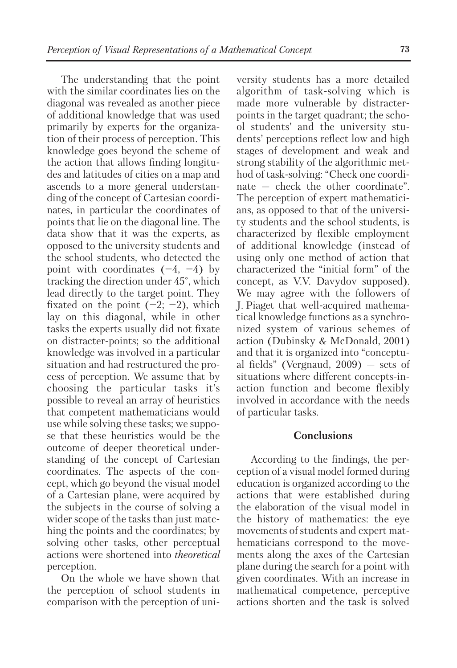The understanding that the point with the similar coordinates lies on the diagonal was revealed as another piece of additional knowledge that was used primarily by experts for the organization of their process of perception. This knowledge goes beyond the scheme of the action that allows finding longitudes and latitudes of cities on a map and ascends to a more general understanding of the concept of Cartesian coordinates, in particular the coordinates of points that lie on the diagonal line. The data show that it was the experts, as opposed to the university students and the school students, who detected the point with coordinates  $(-4, -4)$  by tracking the direction under 45°, which lead directly to the target point. They fixated on the point  $(-2, -2)$ , which lay on this diagonal, while in other tasks the experts usually did not fixate on distracter-points; so the additional knowledge was involved in a particular situation and had restructured the process of perception. We assume that by choosing the particular tasks it's possible to reveal an array of heuristics that competent mathematicians would use while solving these tasks; we suppose that these heuristics would be the outcome of deeper theoretical understanding of the concept of Cartesian coordinates. The aspects of the concept, which go beyond the visual model of a Cartesian plane, were acquired by the subjects in the course of solving a wider scope of the tasks than just matching the points and the coordinates; by solving other tasks, other perceptual actions were shortened into *theoretical* perception.

On the whole we have shown that the perception of school students in comparison with the perception of university students has a more detailed algorithm of task-solving which is made more vulnerable by distracterpoints in the target quadrant; the school students' and the university students' perceptions reflect low and high stages of development and weak and strong stability of the algorithmic method of task-solving: "Check one coordinate — check the other coordinate". The perception of expert mathematicians, as opposed to that of the university students and the school students, is characterized by flexible employment of additional knowledge (instead of using only one method of action that characterized the "initial form" of the concept, as V.V. Davydov supposed). We may agree with the followers of J. Piaget that well-acquired mathematical knowledge functions as a synchronized system of various schemes of action (Dubinsky & McDonald, 2001) and that it is organized into "conceptual fields" (Vergnaud, 2009) — sets of situations where different concepts-inaction function and become flexibly involved in accordance with the needs of particular tasks.

## **Conclusions**

According to the findings, the perception of a visual model formed during education is organized according to the actions that were established during the elaboration of the visual model in the history of mathematics: the eye movements of students and expert mathematicians correspond to the movements along the axes of the Cartesian plane during the search for a point with given coordinates. With an increase in mathematical competence, perceptive actions shorten and the task is solved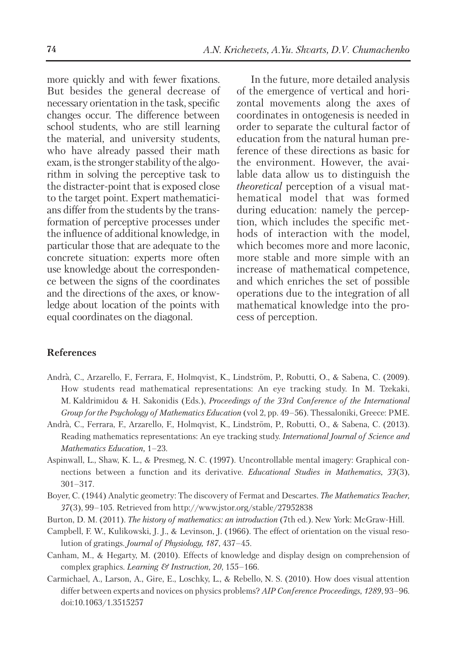more quickly and with fewer fixations. But besides the general decrease of necessary orientation in the task, specific changes occur. The difference between school students, who are still learning the material, and university students, who have already passed their math exam, is the stronger stability of the algorithm in solving the perceptive task to the distracter-point that is exposed close to the target point. Expert mathematicians differ from the students by the transformation of perceptive processes under the influence of additional knowledge, in particular those that are adequate to the concrete situation: experts more often use knowledge about the correspondence between the signs of the coordinates and the directions of the axes, or knowledge about location of the points with equal coordinates on the diagonal.

In the future, more detailed analysis of the emergence of vertical and horizontal movements along the axes of coordinates in ontogenesis is needed in order to separate the cultural factor of education from the natural human preference of these directions as basic for the environment. However, the available data allow us to distinguish the *theoretical* perception of a visual mathematical model that was formed during education: namely the perception, which includes the specific methods of interaction with the model, which becomes more and more laconic, more stable and more simple with an increase of mathematical competence, and which enriches the set of possible operations due to the integration of all mathematical knowledge into the process of perception.

#### **References**

- Andrà, C., Arzarello, F., Ferrara, F., Holmqvist, K., Lindström, P., Robutti, O., & Sabena, C. (2009). How students read mathematical representations: An eye tracking study. In M. Tzekaki, M. Kaldrimidou & H. Sakonidis (Eds.), *Proceedings of the 33rd Conference of the International Group for the Psychology of Mathematics Education* (vol 2, pp. 49–56). Thessaloniki, Greece: PME.
- Andrà, C., Ferrara, F., Arzarello, F., Holmqvist, K., Lindström, P., Robutti, O., & Sabena, C. (2013). Reading mathematics representations: An eye tracking study. *International Journal of Science and Mathematics Education,* 1–23.
- Aspinwall, L., Shaw, K. L., & Presmeg, N. C. (1997). Uncontrollable mental imagery: Graphical connections between a function and its derivative. *Educational Studies in Mathematics, 33*(3), 301–317.
- Boyer, C. (1944) Analytic geometry: The discovery of Fermat and Descartes. *The Mathematics Teacher, 37*(3), 99–105. Retrieved from http://www.jstor.org/stable/27952838
- Burton, D. M. (2011). *The history of mathematics: an introduction* (7th ed.). New York: McGraw-Hill.
- Campbell, F. W., Kulikowski, J. J., & Levinson, J. (1966). The effect of orientation on the visual resolution of gratings. *Journal of Physiology, 187*, 437–45.
- Canham, M., & Hegarty, M. (2010). Effects of knowledge and display design on comprehension of complex graphics. *Learning & Instruction, 20*, 155–166.
- Carmichael, A., Larson, A., Gire, E., Loschky, L., & Rebello, N. S. (2010). How does visual attention differ between experts and novices on physics problems? *AIP Conference Proceedings, 1289*, 93–96. doi:10.1063/1.3515257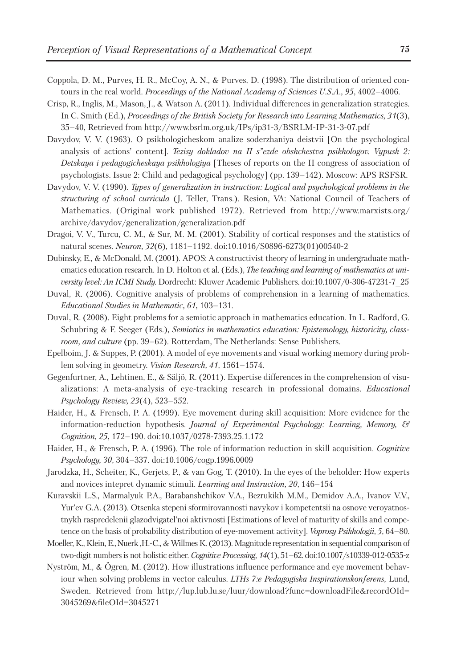- Coppola, D. M., Purves, H. R., McCoy, A. N., & Purves, D. (1998). The distribution of oriented contours in the real world. *Proceedings of the National Academy of Sciences U.S.A., 95*, 4002–4006.
- Crisp, R., Inglis, M., Mason, J., & Watson A. (2011). Individual differences in generalization strategies. In C. Smith (Ed.), *Proceedings of the British Society for Research into Learning Mathematics, 31*(3), 35–40, Retrieved from http://www.bsrlm.org.uk/IPs/ip31-3/BSRLM-IP-31-3-07.pdf
- Davydov, V. V. (1963). O psikhologicheskom analize soderzhaniya deistvii [On the psychological analysis of actions' content]. *Tezisy dokladov na II s"ezde obshchestva psikhologov. Vypusk 2: Detskaya i pedagogicheskaya psikhologiya* [Theses of reports on the II congress of association of psychologists. Issue 2: Child and pedagogical psychology] (pp. 139–142). Moscow: APS RSFSR.
- Davydov, V. V. (1990). *Types of generalization in instruction: Logical and psychological problems in the structuring of school curricula* (J. Teller, Trans.). Resion, VA: National Council of Teachers of Mathematics. (Original work published 1972). Retrieved from http://www.marxists.org/ archive/davydov/generalization/generalization.pdf
- Dragoi, V. V., Turcu, C. M., & Sur, M. M. (2001). Stability of cortical responses and the statistics of natural scenes. *Neuron, 32*(6), 1181–1192. doi:10.1016/S0896-6273(01)00540-2
- Dubinsky, E., & McDonald, M. (2001). APOS: A constructivist theory of learning in undergraduate mathematics education research. In D. Holton et al. (Eds.), *The teaching and learning of mathematics at university level: An ICMI Study.* Dordrecht: Kluwer Academic Publishers. doi:10.1007/0-306-47231-7\_25
- Duval, R. (2006). Cognitive analysis of problems of comprehension in a learning of mathematics. *Educational Studies in Mathematic, 61*, 103–131.
- Duval, R. (2008). Eight problems for a semiotic approach in mathematics education. In L. Radford, G. Schubring & F. Seeger (Eds.), *Semiotics in mathematics education: Epistemology, historicity, classroom, and culture* (pp. 39–62). Rotterdam, The Netherlands: Sense Publishers.
- Epelboim, J. & Suppes, P. (2001). A model of eye movements and visual working memory during problem solving in geometry. *Vision Research, 41*, 1561–1574.
- Gegenfurtner, A., Lehtinen, E., & Säljö, R. (2011). Expertise differences in the comprehension of visualizations: A meta-analysis of eye-tracking research in professional domains. *Educational Psychology Review, 23*(4), 523–552.
- Haider, H., & Frensch, P. A. (1999). Eye movement during skill acquisition: More evidence for the information-reduction hypothesis. *Journal of Experimental Psychology: Learning, Memory, & Cognition, 25*, 172–190. doi:10.1037/0278-7393.25.1.172
- Haider, H., & Frensch, P. A. (1996). The role of information reduction in skill acquisition. *Cognitive Psychology, 30*, 304–337. doi:10.1006/cogp.1996.0009
- Jarodzka, H., Scheiter, K., Gerjets, P., & van Gog, T. (2010). In the eyes of the beholder: How experts and novices intepret dynamic stimuli. *Learning and Instruction, 20*, 146–154
- Kuravskii L.S., Marmalyuk P.A., Barabanshchikov V.A., Bezrukikh M.M., Demidov A.A., Ivanov V.V., Yur'ev G.A. (2013). Otsenka stepeni sformirovannosti navykov i kompetentsii na osnove veroyatnostnykh raspredelenii glazodvigatel'noi aktivnosti [Estimations of level of maturity of skills and competence on the basis of probability distribution of eye-movement activity]. *Voprosy Psikhologii*, *5*, 64–80.
- Moeller, K., Klein, E., Nuerk ,H.-C., & Willmes K. (2013). Magnitude representation in sequential comparison of two-digit numbers is not holistic either. *Cognitive Processing, 14*(1), 51–62. doi:10.1007/s10339-012-0535-z
- Nyström, M., & Ögren, M. (2012). How illustrations influence performance and eye movement behaviour when solving problems in vector calculus. *LTHs 7:e Pedagogiska Inspirationskonferens,* Lund, Sweden. Retrieved from http://lup.lub.lu.se/luur/download?func=downloadFile&recordOId= 3045269&fileOId=3045271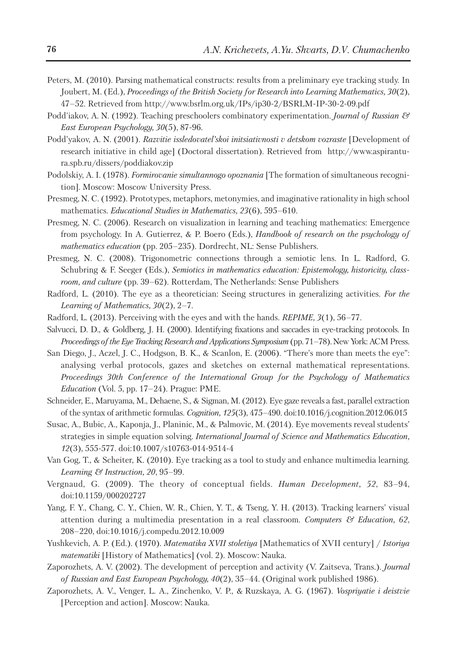- Peters, M. (2010). Parsing mathematical constructs: results from a preliminary eye tracking study. In Joubert, M. (Ed.), *Proceedings of the British Society for Research into Learning Mathematics, 30*(2), 47–52. Retrieved from http://www.bsrlm.org.uk/IPs/ip30-2/BSRLM-IP-30-2-09.pdf
- Podd'iakov, A. N. (1992). Teaching preschoolers combinatory experimentation. *Journal of Russian & East European Psychology, 30*(5), 87-96.
- Podd'yakov, A. N. (2001). *Razvitie issledovatel'skoi initsiativnosti v detskom vozraste* [Development of research initiative in child age] (Doctoral dissertation). Retrieved from http://www.aspirantura.spb.ru/dissers/poddiakov.zip
- Podolskiy, A. I. (1978). *Formirovanie simultannogo opoznania* [The formation of simultaneous recognition]. Moscow: Moscow University Press.
- Presmeg, N. C. (1992). Prototypes, metaphors, metonymies, and imaginative rationality in high school mathematics. *Educational Studies in Mathematics, 23*(6), 595–610.
- Presmeg, N. C. (2006). Research on visualization in learning and teaching mathematics: Emergence from psychology. In A. Gutierrez, & P. Boero (Eds.), *Handbook of research on the psychology of mathematics education* (pp. 205–235). Dordrecht, NL: Sense Publishers.
- Presmeg, N. C. (2008). Trigonometric connections through a semiotic lens. In L. Radford, G. Schubring & F. Seeger (Eds.), *Semiotics in mathematics education: Epistemology, historicity, classroom, and culture* (pp. 39–62). Rotterdam, The Netherlands: Sense Publishers
- Radford, L. (2010). The eye as a theoretician: Seeing structures in generalizing activities. *For the Learning of Mathematics, 30*(2), 2–7.
- Radford, L. (2013). Perceiving with the eyes and with the hands. *REPIME, 3*(1), 56–77.
- Salvucci, D. D., & Goldberg, J. H. (2000). Identifying fixations and saccades in eye-tracking protocols. In *Proceedings of the Eye Tracking Research and Applications Symposium* (pp. 71–78). New York: ACM Press.
- San Diego, J., Aczel, J. C., Hodgson, B. K., & Scanlon, E. (2006). "There's more than meets the eve": analysing verbal protocols, gazes and sketches on external mathematical representations. *Proceedings 30th Conference of the International Group for the Psychology of Mathematics Education* (Vol. 5, pp. 17–24). Prague: PME.
- Schneider, E., Maruyama, M., Dehaene, S., & Sigman, M. (2012). Eye gaze reveals a fast, parallel extraction of the syntax of arithmetic formulas. *Cognition, 125*(3), 475–490. doi:10.1016/j.cognition.2012.06.015
- Susac, A., Bubic, A., Kaponja, J., Planinic, M., & Palmovic, M. (2014). Eye movements reveal students' strategies in simple equation solving. *International Journal of Science and Mathematics Education, 12*(3), 555-577. doi:10.1007/s10763-014-9514-4
- Van Gog, T., & Scheiter, K. (2010). Eye tracking as a tool to study and enhance multimedia learning. *Learning & Instruction, 20*, 95–99.
- Vergnaud, G. (2009). The theory of conceptual fields. *Human Development, 52*, 83–94, doi:10.1159/000202727
- Yang, F. Y., Chang, C. Y., Chien, W. R., Chien, Y. T., & Tseng, Y. H. (2013). Tracking learners' visual attention during a multimedia presentation in a real classroom. *Computers & Education, 62*, 208–220, doi:10.1016/j.compedu.2012.10.009
- Yushkevich, A. P. (Ed.). (1970). *Matematika XVII stoletiya* [Mathematics of XVII century] / *Istoriya matematiki* [History of Mathematics] (vol. 2). Moscow: Nauka.
- Zaporozhets, A. V. (2002). The development of perception and activity (V. Zaitseva, Trans.). *Journal of Russian and East European Psychology, 40*(2), 35–44. (Original work published 1986).
- Zaporozhets, A. V., Venger, L. A., Zinchenko, V. P., & Ruzskaya, A. G. (1967). *Vospriyatie i deistvie* [Perception and action]. Moscow: Nauka.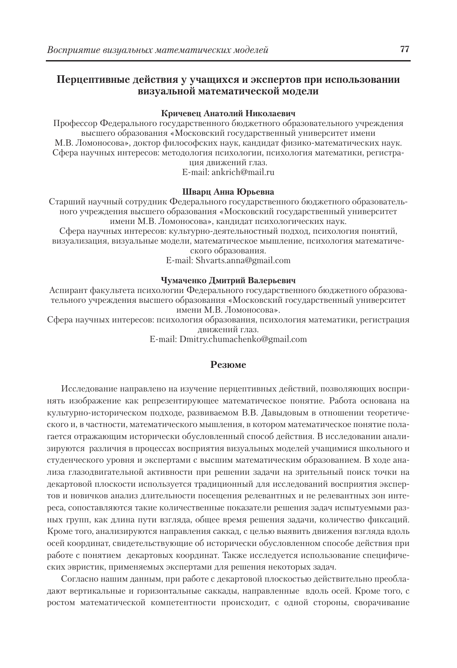## **Перцептивные действия у учащихся и экспертов при использовании визуальной математической модели**

#### **Кричевец Анатолий Николаевич**

Профессор Федерального государственного бюджетного образовательного учреждения высшего образования «Московский государственный университет имени М.В. Ломоносова», доктор философских наук, кандидат физико-математических наук. Сфера научных интересов: методология психологии, психология математики, регистрация движений глаз.

E-mail: ankrich@mail.ru

#### **Шварц Анна Юрьевна**

Старший научный сотрудник Федерального государственного бюджетного образовательного учреждения высшего образования «Московский государственный университет имени М.В. Ломоносова», кандидат психологических наук.

Сфера научных интересов: культурно-деятельностный подход, психология понятий, визуализация, визуальные модели, математическое мышление, психология математиче-

ского образования.

E-mail: Shvarts.anna@gmail.com

#### **Чумаченко Дмитрий Валерьевич**

Аспирант факультета психологии Федерального государственного бюджетного образовательного учреждения высшего образования «Московский государственный университет имени М.В. Ломоносова».

Сфера научных интересов: психология образования, психология математики, регистрация движений глаз.

E-mail: Dmitry.chumachenko@gmail.com

## **Резюме**

Исследование направлено на изучение перцептивных действий, позволяющих воспринять изображение как репрезентирующее математическое понятие. Работа основана на культурно-историческом подходе, развиваемом В.В. Давыдовым в отношении теоретического и, в частности, математического мышления, в котором математическое понятие полагается отражающим исторически обусловленный способ действия. В исследовании анализируются различия в процессах восприятия визуальных моделей учащимися школьного и студенческого уровня и экспертами с высшим математическим образованием. В ходе анализа глазодвигательной активности при решении задачи на зрительный поиск точки на декартовой плоскости используется традиционный для исследований восприятия экспертов и новичков анализ длительности посещения релевантных и не релевантных зон интереса, сопоставляются такие количественные показатели решения задач испытуемыми разных групп, как длина пути взгляда, общее время решения задачи, количество фиксаций. Кроме того, анализируются направления саккад, с целью выявить движения взгляда вдоль осей координат, свидетельствующие об исторически обусловленном способе действия при работе с понятием декартовых координат. Также исследуется использование специфических эвристик, применяемых экспертами для решения некоторых задач.

Согласно нашим данным, при работе с декартовой плоскостью действительно преобладают вертикальные и горизонтальные саккады, направленные вдоль осей. Кроме того, с ростом математической компетентности происходит, с одной стороны, сворачивание